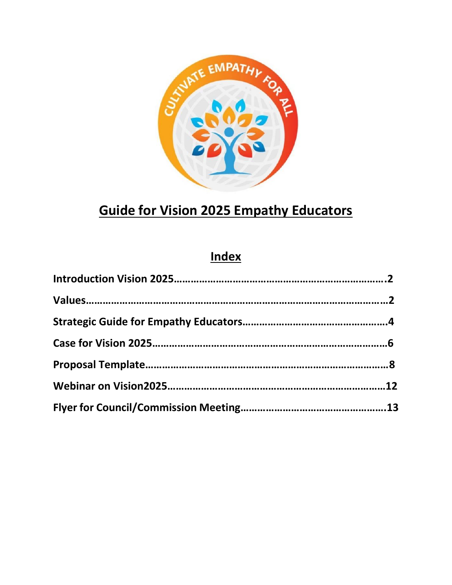

## **Guide for Vision 2025 Empathy Educators**

## **Index**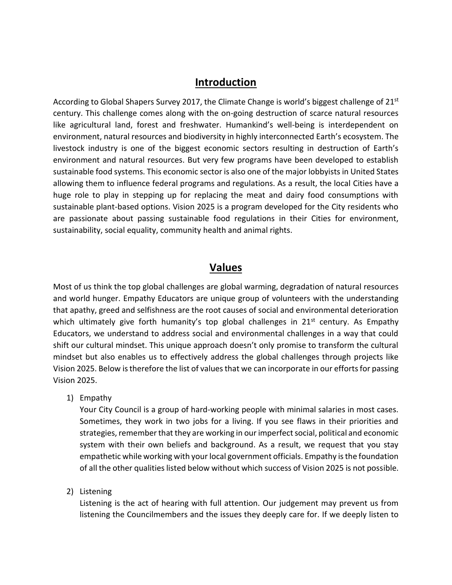### **Introduction**

According to Global Shapers Survey 2017, the Climate Change is world's biggest challenge of  $21<sup>st</sup>$ century. This challenge comes along with the on-going destruction of scarce natural resources like agricultural land, forest and freshwater. Humankind's well-being is interdependent on environment, natural resources and biodiversity in highly interconnected Earth's ecosystem. The livestock industry is one of the biggest economic sectors resulting in destruction of Earth's environment and natural resources. But very few programs have been developed to establish sustainable food systems. This economic sector is also one of the major lobbyists in United States allowing them to influence federal programs and regulations. As a result, the local Cities have a huge role to play in stepping up for replacing the meat and dairy food consumptions with sustainable plant-based options. Vision 2025 is a program developed for the City residents who are passionate about passing sustainable food regulations in their Cities for environment, sustainability, social equality, community health and animal rights.

### **Values**

Most of us think the top global challenges are global warming, degradation of natural resources and world hunger. Empathy Educators are unique group of volunteers with the understanding that apathy, greed and selfishness are the root causes of social and environmental deterioration which ultimately give forth humanity's top global challenges in 21<sup>st</sup> century. As Empathy Educators, we understand to address social and environmental challenges in a way that could shift our cultural mindset. This unique approach doesn't only promise to transform the cultural mindset but also enables us to effectively address the global challenges through projects like Vision 2025. Below is therefore the list of values that we can incorporate in our efforts for passing Vision 2025.

1) Empathy

Your City Council is a group of hard-working people with minimal salaries in most cases. Sometimes, they work in two jobs for a living. If you see flaws in their priorities and strategies, remember that they are working in our imperfect social, political and economic system with their own beliefs and background. As a result, we request that you stay empathetic while working with your local government officials. Empathy is the foundation of all the other qualities listed below without which success of Vision 2025 is not possible.

2) Listening

Listening is the act of hearing with full attention. Our judgement may prevent us from listening the Councilmembers and the issues they deeply care for. If we deeply listen to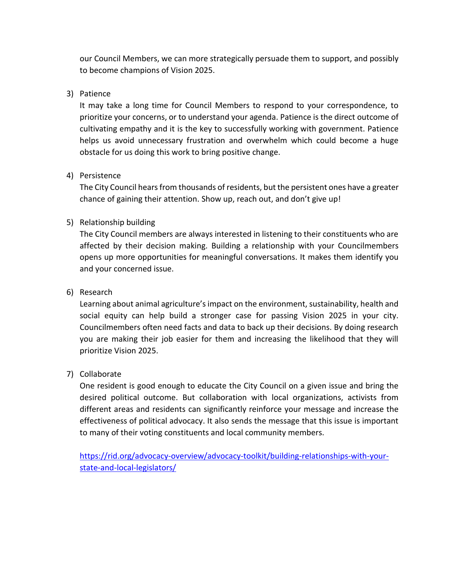our Council Members, we can more strategically persuade them to support, and possibly to become champions of Vision 2025.

#### 3) Patience

It may take a long time for Council Members to respond to your correspondence, to prioritize your concerns, or to understand your agenda. Patience is the direct outcome of cultivating empathy and it is the key to successfully working with government. Patience helps us avoid unnecessary frustration and overwhelm which could become a huge obstacle for us doing this work to bring positive change.

#### 4) Persistence

The City Council hears from thousands of residents, but the persistent ones have a greater chance of gaining their attention. Show up, reach out, and don't give up!

#### 5) Relationship building

The City Council members are always interested in listening to their constituents who are affected by their decision making. Building a relationship with your Councilmembers opens up more opportunities for meaningful conversations. It makes them identify you and your concerned issue.

#### 6) Research

Learning about animal agriculture's impact on the environment, sustainability, health and social equity can help build a stronger case for passing Vision 2025 in your city. Councilmembers often need facts and data to back up their decisions. By doing research you are making their job easier for them and increasing the likelihood that they will prioritize Vision 2025.

#### 7) Collaborate

One resident is good enough to educate the City Council on a given issue and bring the desired political outcome. But collaboration with local organizations, activists from different areas and residents can significantly reinforce your message and increase the effectiveness of political advocacy. It also sends the message that this issue is important to many of their voting constituents and local community members.

[https://rid.org/advocacy-overview/advocacy-toolkit/building-relationships-with-your](https://rid.org/advocacy-overview/advocacy-toolkit/building-relationships-with-your-state-and-local-legislators/)[state-and-local-legislators/](https://rid.org/advocacy-overview/advocacy-toolkit/building-relationships-with-your-state-and-local-legislators/)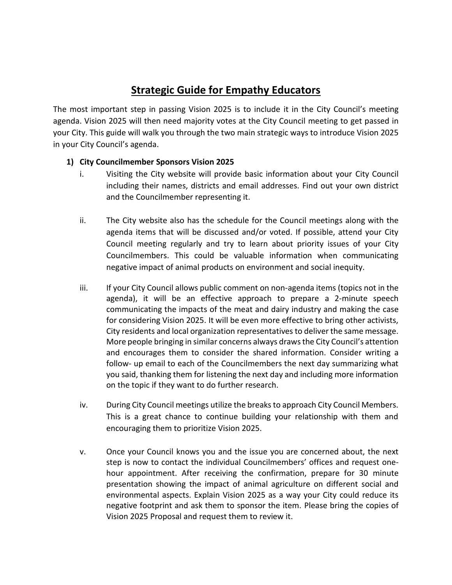## **Strategic Guide for Empathy Educators**

The most important step in passing Vision 2025 is to include it in the City Council's meeting agenda. Vision 2025 will then need majority votes at the City Council meeting to get passed in your City. This guide will walk you through the two main strategic ways to introduce Vision 2025 in your City Council's agenda.

#### **1) City Councilmember Sponsors Vision 2025**

- i. Visiting the City website will provide basic information about your City Council including their names, districts and email addresses. Find out your own district and the Councilmember representing it.
- ii. The City website also has the schedule for the Council meetings along with the agenda items that will be discussed and/or voted. If possible, attend your City Council meeting regularly and try to learn about priority issues of your City Councilmembers. This could be valuable information when communicating negative impact of animal products on environment and social inequity.
- iii. If your City Council allows public comment on non-agenda items (topics not in the agenda), it will be an effective approach to prepare a 2-minute speech communicating the impacts of the meat and dairy industry and making the case for considering Vision 2025. It will be even more effective to bring other activists, City residents and local organization representatives to deliver the same message. More people bringing in similar concerns always draws the City Council's attention and encourages them to consider the shared information. Consider writing a follow- up email to each of the Councilmembers the next day summarizing what you said, thanking them for listening the next day and including more information on the topic if they want to do further research.
- iv. During City Council meetings utilize the breaks to approach City Council Members. This is a great chance to continue building your relationship with them and encouraging them to prioritize Vision 2025.
- v. Once your Council knows you and the issue you are concerned about, the next step is now to contact the individual Councilmembers' offices and request onehour appointment. After receiving the confirmation, prepare for 30 minute presentation showing the impact of animal agriculture on different social and environmental aspects. Explain Vision 2025 as a way your City could reduce its negative footprint and ask them to sponsor the item. Please bring the copies of Vision 2025 Proposal and request them to review it.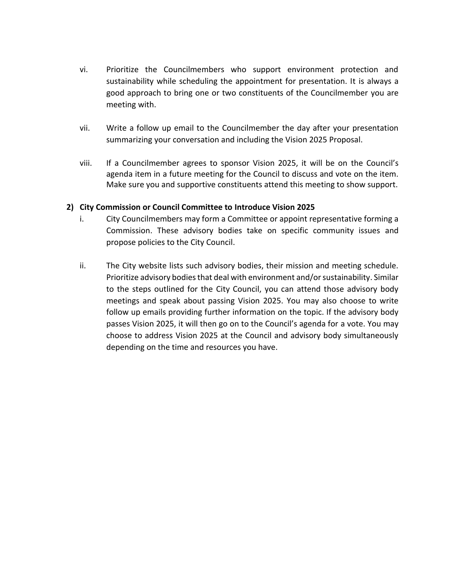- vi. Prioritize the Councilmembers who support environment protection and sustainability while scheduling the appointment for presentation. It is always a good approach to bring one or two constituents of the Councilmember you are meeting with.
- vii. Write a follow up email to the Councilmember the day after your presentation summarizing your conversation and including the Vision 2025 Proposal.
- viii. If a Councilmember agrees to sponsor Vision 2025, it will be on the Council's agenda item in a future meeting for the Council to discuss and vote on the item. Make sure you and supportive constituents attend this meeting to show support.

#### **2) City Commission or Council Committee to Introduce Vision 2025**

- i. City Councilmembers may form a Committee or appoint representative forming a Commission. These advisory bodies take on specific community issues and propose policies to the City Council.
- ii. The City website lists such advisory bodies, their mission and meeting schedule. Prioritize advisory bodiesthat deal with environment and/or sustainability. Similar to the steps outlined for the City Council, you can attend those advisory body meetings and speak about passing Vision 2025. You may also choose to write follow up emails providing further information on the topic. If the advisory body passes Vision 2025, it will then go on to the Council's agenda for a vote. You may choose to address Vision 2025 at the Council and advisory body simultaneously depending on the time and resources you have.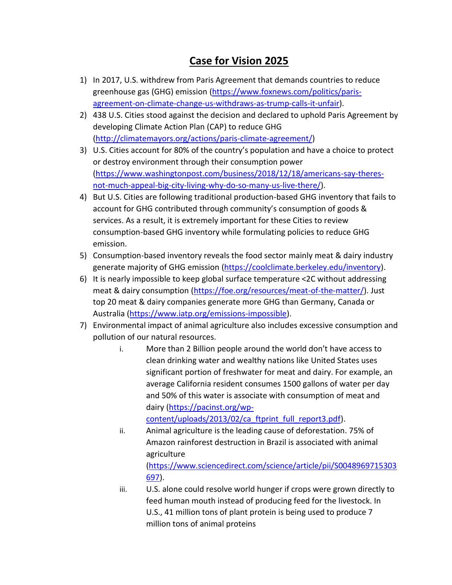## **Case for Vision 2025**

- 1) In 2017, U.S. withdrew from Paris Agreement that demands countries to reduce greenhouse gas (GHG) emission [\(https://www.foxnews.com/politics/paris](https://www.foxnews.com/politics/paris-agreement-on-climate-change-us-withdraws-as-trump-calls-it-unfair)[agreement-on-climate-change-us-withdraws-as-trump-calls-it-unfair\)](https://www.foxnews.com/politics/paris-agreement-on-climate-change-us-withdraws-as-trump-calls-it-unfair).
- 2) 438 U.S. Cities stood against the decision and declared to uphold Paris Agreement by developing Climate Action Plan (CAP) to reduce GHG [\(http://climatemayors.org/actions/paris-climate-agreement/\)](http://climatemayors.org/actions/paris-climate-agreement/)
- 3) U.S. Cities account for 80% of the country's population and have a choice to protect or destroy environment through their consumption power [\(https://www.washingtonpost.com/business/2018/12/18/americans-say-theres](https://www.washingtonpost.com/business/2018/12/18/americans-say-theres-not-much-appeal-big-city-living-why-do-so-many-us-live-there/)[not-much-appeal-big-city-living-why-do-so-many-us-live-there/\)](https://www.washingtonpost.com/business/2018/12/18/americans-say-theres-not-much-appeal-big-city-living-why-do-so-many-us-live-there/).
- 4) But U.S. Cities are following traditional production-based GHG inventory that fails to account for GHG contributed through community's consumption of goods & services. As a result, it is extremely important for these Cities to review consumption-based GHG inventory while formulating policies to reduce GHG emission.
- 5) Consumption-based inventory reveals the food sector mainly meat & dairy industry generate majority of GHG emission [\(https://coolclimate.berkeley.edu/inventory\)](https://coolclimate.berkeley.edu/inventory).
- 6) It is nearly impossible to keep global surface temperature <2C without addressing meat & dairy consumption [\(https://foe.org/resources/meat-of-the-matter/\)](https://foe.org/resources/meat-of-the-matter/). Just top 20 meat & dairy companies generate more GHG than Germany, Canada or Australia [\(https://www.iatp.org/emissions-impossible\)](https://www.iatp.org/emissions-impossible).
- 7) Environmental impact of animal agriculture also includes excessive consumption and pollution of our natural resources.
	- i. More than 2 Billion people around the world don't have access to clean drinking water and wealthy nations like United States uses significant portion of freshwater for meat and dairy. For example, an average California resident consumes 1500 gallons of water per day and 50% of this water is associate with consumption of meat and dairy [\(https://pacinst.org/wp](https://pacinst.org/wp-content/uploads/2013/02/ca_ftprint_full_report3.pdf)[content/uploads/2013/02/ca\\_ftprint\\_full\\_report3.pdf\)](https://pacinst.org/wp-content/uploads/2013/02/ca_ftprint_full_report3.pdf).

ii. Animal agriculture is the leading cause of deforestation. 75% of Amazon rainforest destruction in Brazil is associated with animal agriculture [\(https://www.sciencedirect.com/science/article/pii/S0048969715303](https://www.sciencedirect.com/science/article/pii/S0048969715303697) [697\)](https://www.sciencedirect.com/science/article/pii/S0048969715303697).

iii. U.S. alone could resolve world hunger if crops were grown directly to feed human mouth instead of producing feed for the livestock. In U.S., 41 million tons of plant protein is being used to produce 7 million tons of animal proteins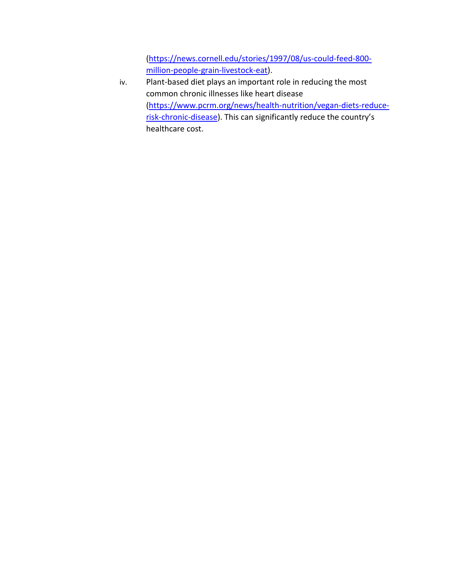[\(https://news.cornell.edu/stories/1997/08/us-could-feed-800](https://news.cornell.edu/stories/1997/08/us-could-feed-800-million-people-grain-livestock-eat) [million-people-grain-livestock-eat\)](https://news.cornell.edu/stories/1997/08/us-could-feed-800-million-people-grain-livestock-eat).

iv. Plant-based diet plays an important role in reducing the most common chronic illnesses like heart disease [\(https://www.pcrm.org/news/health-nutrition/vegan-diets-reduce](https://www.pcrm.org/news/health-nutrition/vegan-diets-reduce-risk-chronic-disease)[risk-chronic-disease](https://www.pcrm.org/news/health-nutrition/vegan-diets-reduce-risk-chronic-disease)). This can significantly reduce the country's healthcare cost.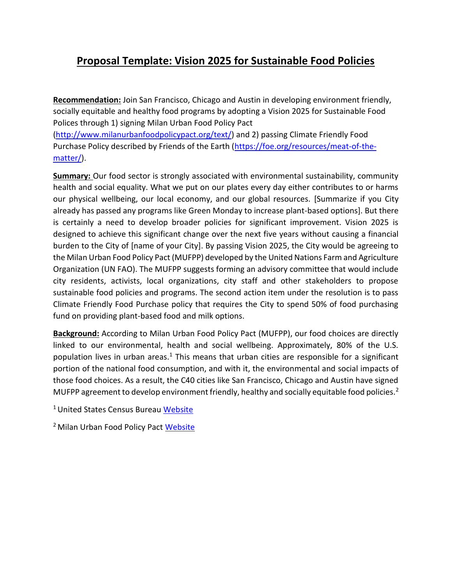## **Proposal Template: Vision 2025 for Sustainable Food Policies**

**Recommendation:** Join San Francisco, Chicago and Austin in developing environment friendly, socially equitable and healthy food programs by adopting a Vision 2025 for Sustainable Food Polices through 1) signing Milan Urban Food Policy Pact [\(http://www.milanurbanfoodpolicypact.org/text/\)](http://www.milanurbanfoodpolicypact.org/text/) and 2) passing Climate Friendly Food Purchase Policy described by Friends of the Earth [\(https://foe.org/resources/meat-of-the](https://foe.org/resources/meat-of-the-matter/)[matter/\)](https://foe.org/resources/meat-of-the-matter/).

**Summary:** Our food sector is strongly associated with environmental sustainability, community health and social equality. What we put on our plates every day either contributes to or harms our physical wellbeing, our local economy, and our global resources. [Summarize if you City already has passed any programs like Green Monday to increase plant-based options]. But there is certainly a need to develop broader policies for significant improvement. Vision 2025 is designed to achieve this significant change over the next five years without causing a financial burden to the City of [name of your City]. By passing Vision 2025, the City would be agreeing to the Milan Urban Food Policy Pact (MUFPP) developed by the United Nations Farm and Agriculture Organization (UN FAO). The MUFPP suggests forming an advisory committee that would include city residents, activists, local organizations, city staff and other stakeholders to propose sustainable food policies and programs. The second action item under the resolution is to pass Climate Friendly Food Purchase policy that requires the City to spend 50% of food purchasing fund on providing plant-based food and milk options.

**Background:** According to Milan Urban Food Policy Pact (MUFPP), our food choices are directly linked to our environmental, health and social wellbeing. Approximately, 80% of the U.S. population lives in urban areas.<sup>1</sup> This means that urban cities are responsible for a significant portion of the national food consumption, and with it, the environmental and social impacts of those food choices. As a result, the C40 cities like San Francisco, Chicago and Austin have signed MUFPP agreement to develop environment friendly, healthy and socially equitable food policies.<sup>2</sup>

<sup>1</sup> United States Census Bureau [Website](https://www.census.gov/newsroom/press-releases/2016/cb16-210.html)

<sup>2</sup> Milan Urban Food Policy Pact [Website](http://www.milanurbanfoodpolicypact.org/signatory-cities/)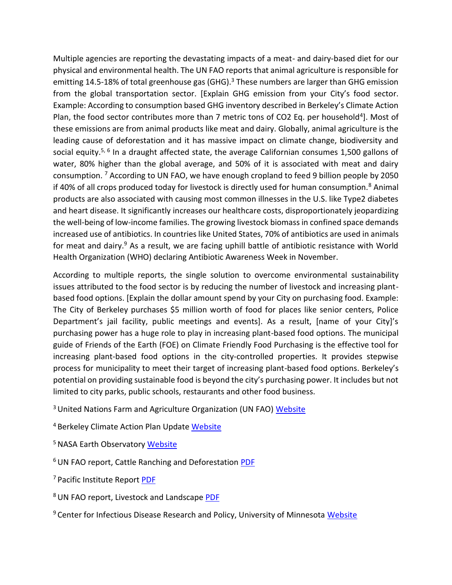Multiple agencies are reporting the devastating impacts of a meat- and dairy-based diet for our physical and environmental health. The UN FAO reports that animal agriculture is responsible for emitting 14.5-18% of total greenhouse gas (GHG).<sup>3</sup> These numbers are larger than GHG emission from the global transportation sector. [Explain GHG emission from your City's food sector. Example: According to consumption based GHG inventory described in Berkeley's Climate Action Plan, the food sector contributes more than 7 metric tons of CO2 Eq. per household<sup>4</sup>]. Most of these emissions are from animal products like meat and dairy. Globally, animal agriculture is the leading cause of deforestation and it has massive impact on climate change, biodiversity and social equity.<sup>5, 6</sup> In a draught affected state, the average Californian consumes 1,500 gallons of water, 80% higher than the global average, and 50% of it is associated with meat and dairy consumption. <sup>7</sup> According to UN FAO, we have enough cropland to feed 9 billion people by 2050 if 40% of all crops produced today for livestock is directly used for human consumption.<sup>8</sup> Animal products are also associated with causing most common illnesses in the U.S. like Type2 diabetes and heart disease. It significantly increases our healthcare costs, disproportionately jeopardizing the well-being of low-income families. The growing livestock biomass in confined space demands increased use of antibiotics. In countries like United States, 70% of antibiotics are used in animals for meat and dairy.<sup>9</sup> As a result, we are facing uphill battle of antibiotic resistance with World Health Organization (WHO) declaring Antibiotic Awareness Week in November.

According to multiple reports, the single solution to overcome environmental sustainability issues attributed to the food sector is by reducing the number of livestock and increasing plantbased food options. [Explain the dollar amount spend by your City on purchasing food. Example: The City of Berkeley purchases \$5 million worth of food for places like senior centers, Police Department's jail facility, public meetings and events]. As a result, [name of your City]'s purchasing power has a huge role to play in increasing plant-based food options. The municipal guide of Friends of the Earth (FOE) on Climate Friendly Food Purchasing is the effective tool for increasing plant-based food options in the city-controlled properties. It provides stepwise process for municipality to meet their target of increasing plant-based food options. Berkeley's potential on providing sustainable food is beyond the city's purchasing power. It includes but not limited to city parks, public schools, restaurants and other food business.

<sup>3</sup> United Nations Farm and Agriculture Organization (UN FAO) [Website](http://www.fao.org/news/story/en/item/197623/icode/)

<sup>4</sup> Berkeley Climate Action Plan Update [Website](https://www.cityofberkeley.info/recordsonline/api/Document/AS1qYEO88qcY6Ips8nwbGgL4jGxxlSquza3ESlDOTS6DL2nWl1jPxxzLJVhyvQgYDIlKPuJDdT3oigVB31dHEfM%3D/)

<sup>5</sup> NASA Earth Observatory [Website](https://earthobservatory.nasa.gov/features/Deforestation/deforestation_update3.php)

<sup>6</sup> UN FAO report, Cattle Ranching and Deforestation [PDF](http://www.fao.org/3/a-a0262e.pdf)

<sup>7</sup>Pacific Institute Report [PDF](https://pacinst.org/wp-content/uploads/2013/02/ca_ftprint_full_report3.pdf)

<sup>8</sup>UN FAO report, Livestock and Landscape [PDF](http://www.fao.org/3/ar591e/ar591e.pdf)

<sup>9</sup> Center for Infectious Disease Research and Policy, University of Minnesota [Website](http://www.cidrap.umn.edu/news-perspective/2016/12/fda-antibiotic-use-food-animals-continues-rise)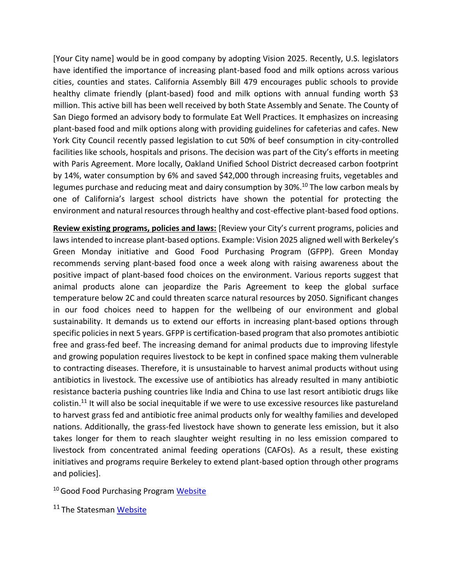[Your City name] would be in good company by adopting Vision 2025. Recently, U.S. legislators have identified the importance of increasing plant-based food and milk options across various cities, counties and states. California Assembly Bill 479 encourages public schools to provide healthy climate friendly (plant-based) food and milk options with annual funding worth \$3 million. This active bill has been well received by both State Assembly and Senate. The County of San Diego formed an advisory body to formulate Eat Well Practices. It emphasizes on increasing plant-based food and milk options along with providing guidelines for cafeterias and cafes. New York City Council recently passed legislation to cut 50% of beef consumption in city-controlled facilities like schools, hospitals and prisons. The decision was part of the City's efforts in meeting with Paris Agreement. More locally, Oakland Unified School District decreased carbon footprint by 14%, water consumption by 6% and saved \$42,000 through increasing fruits, vegetables and legumes purchase and reducing meat and dairy consumption by 30%.<sup>10</sup> The low carbon meals by one of California's largest school districts have shown the potential for protecting the environment and natural resources through healthy and cost-effective plant-based food options.

**Review existing programs, policies and laws:** [Review your City's current programs, policies and laws intended to increase plant-based options. Example: Vision 2025 aligned well with Berkeley's Green Monday initiative and Good Food Purchasing Program (GFPP). Green Monday recommends serving plant-based food once a week along with raising awareness about the positive impact of plant-based food choices on the environment. Various reports suggest that animal products alone can jeopardize the Paris Agreement to keep the global surface temperature below 2C and could threaten scarce natural resources by 2050. Significant changes in our food choices need to happen for the wellbeing of our environment and global sustainability. It demands us to extend our efforts in increasing plant-based options through specific policies in next 5 years. GFPP is certification-based program that also promotes antibiotic free and grass-fed beef. The increasing demand for animal products due to improving lifestyle and growing population requires livestock to be kept in confined space making them vulnerable to contracting diseases. Therefore, it is unsustainable to harvest animal products without using antibiotics in livestock. The excessive use of antibiotics has already resulted in many antibiotic resistance bacteria pushing countries like India and China to use last resort antibiotic drugs like colistin.<sup>11</sup> It will also be social inequitable if we were to use excessive resources like pastureland to harvest grass fed and antibiotic free animal products only for wealthy families and developed nations. Additionally, the grass-fed livestock have shown to generate less emission, but it also takes longer for them to reach slaughter weight resulting in no less emission compared to livestock from concentrated animal feeding operations (CAFOs). As a result, these existing initiatives and programs require Berkeley to extend plant-based option through other programs and policies].

<sup>10</sup> Good Food Purchasing Program [Website](https://goodfoodcities.org/less-meat-better-food-happier-kids-oakland-unified-reinvents-its-school-lunch/)

<sup>11</sup> The Statesman [Website](https://www.thestatesman.com/supplements/8thday/heading-for-a-disaster-1502677575.html)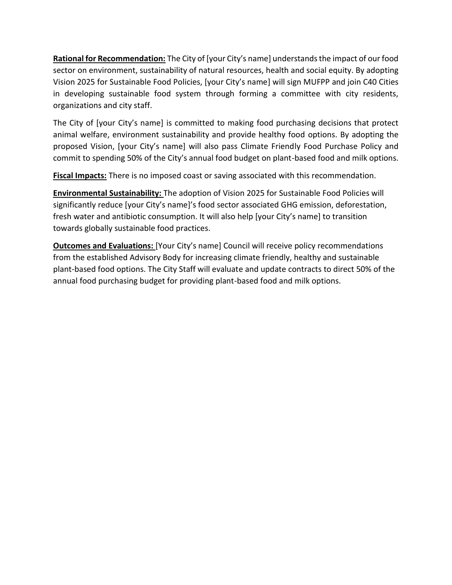**Rational for Recommendation:** The City of [your City's name] understands the impact of our food sector on environment, sustainability of natural resources, health and social equity. By adopting Vision 2025 for Sustainable Food Policies, [your City's name] will sign MUFPP and join C40 Cities in developing sustainable food system through forming a committee with city residents, organizations and city staff.

The City of [your City's name] is committed to making food purchasing decisions that protect animal welfare, environment sustainability and provide healthy food options. By adopting the proposed Vision, [your City's name] will also pass Climate Friendly Food Purchase Policy and commit to spending 50% of the City's annual food budget on plant-based food and milk options.

**Fiscal Impacts:** There is no imposed coast or saving associated with this recommendation.

**Environmental Sustainability:** The adoption of Vision 2025 for Sustainable Food Policies will significantly reduce [your City's name]'s food sector associated GHG emission, deforestation, fresh water and antibiotic consumption. It will also help [your City's name] to transition towards globally sustainable food practices.

**Outcomes and Evaluations:** [Your City's name] Council will receive policy recommendations from the established Advisory Body for increasing climate friendly, healthy and sustainable plant-based food options. The City Staff will evaluate and update contracts to direct 50% of the annual food purchasing budget for providing plant-based food and milk options.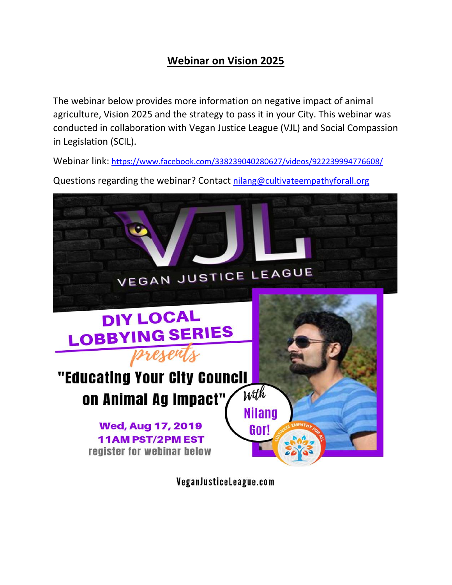## **Webinar on Vision 2025**

The webinar below provides more information on negative impact of animal agriculture, Vision 2025 and the strategy to pass it in your City. This webinar was conducted in collaboration with Vegan Justice League (VJL) and Social Compassion in Legislation (SCIL).

Webinar link: <https://www.facebook.com/338239040280627/videos/922239994776608/>

Questions regarding the webinar? Contact [nilang@cultivateempathyforall.org](mailto:nilang@cultivateempathyforall.org)



VeganJusticeLeague.com